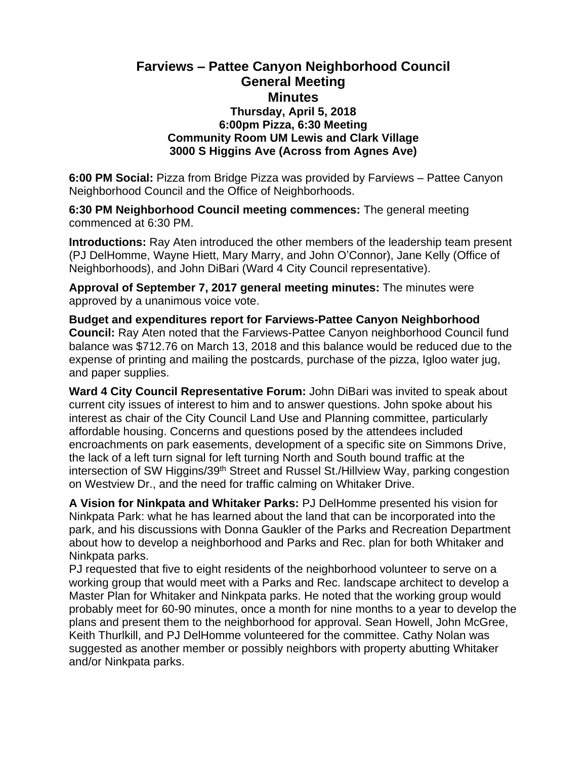## **Farviews – Pattee Canyon Neighborhood Council General Meeting Minutes Thursday, April 5, 2018 6:00pm Pizza, 6:30 Meeting Community Room UM Lewis and Clark Village 3000 S Higgins Ave (Across from Agnes Ave)**

**6:00 PM Social:** Pizza from Bridge Pizza was provided by Farviews – Pattee Canyon Neighborhood Council and the Office of Neighborhoods.

**6:30 PM Neighborhood Council meeting commences:** The general meeting commenced at 6:30 PM.

**Introductions:** Ray Aten introduced the other members of the leadership team present (PJ DelHomme, Wayne Hiett, Mary Marry, and John O'Connor), Jane Kelly (Office of Neighborhoods), and John DiBari (Ward 4 City Council representative).

**Approval of September 7, 2017 general meeting minutes:** The minutes were approved by a unanimous voice vote.

**Budget and expenditures report for Farviews-Pattee Canyon Neighborhood Council:** Ray Aten noted that the Farviews-Pattee Canyon neighborhood Council fund balance was \$712.76 on March 13, 2018 and this balance would be reduced due to the expense of printing and mailing the postcards, purchase of the pizza, Igloo water jug, and paper supplies.

**Ward 4 City Council Representative Forum:** John DiBari was invited to speak about current city issues of interest to him and to answer questions. John spoke about his interest as chair of the City Council Land Use and Planning committee, particularly affordable housing. Concerns and questions posed by the attendees included encroachments on park easements, development of a specific site on Simmons Drive, the lack of a left turn signal for left turning North and South bound traffic at the intersection of SW Higgins/39th Street and Russel St./Hillview Way, parking congestion on Westview Dr., and the need for traffic calming on Whitaker Drive.

**A Vision for Ninkpata and Whitaker Parks:** PJ DelHomme presented his vision for Ninkpata Park: what he has learned about the land that can be incorporated into the park, and his discussions with Donna Gaukler of the Parks and Recreation Department about how to develop a neighborhood and Parks and Rec. plan for both Whitaker and Ninkpata parks.

PJ requested that five to eight residents of the neighborhood volunteer to serve on a working group that would meet with a Parks and Rec. landscape architect to develop a Master Plan for Whitaker and Ninkpata parks. He noted that the working group would probably meet for 60-90 minutes, once a month for nine months to a year to develop the plans and present them to the neighborhood for approval. Sean Howell, John McGree, Keith Thurlkill, and PJ DelHomme volunteered for the committee. Cathy Nolan was suggested as another member or possibly neighbors with property abutting Whitaker and/or Ninkpata parks.